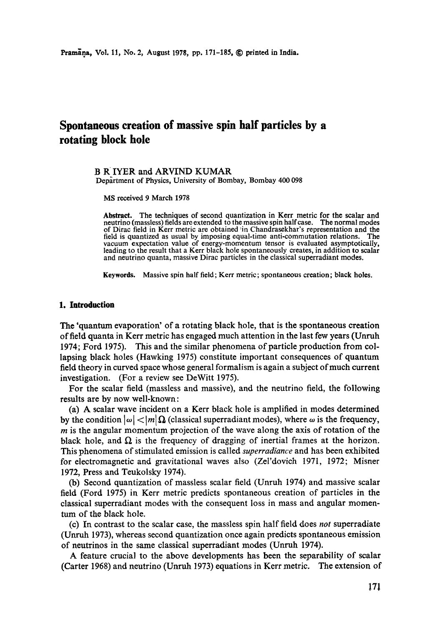# **Spontaneous creation of massive spin half particles by a rotating block hole**

#### B R IYER and ARVIND KUMAR Department of Physics, University of Bombay, Bombay 400 098

MS received 9 March 1978

**Abstract.** The techniques of second quantization in Kerr metric for the scalar and neutrino (massless) fields are extended to the massive spin half case. The normal modes of Dirac field in Kerr metric are obtained in Chandrasekhar's representation and the field is quantized as usual by imposing equal-time anti-commutation relations. The vacuum expectation value of energy-momentum tensor is evaluated asymptotically, leading to the result that a Kerr black hole spontaneously creates, in addition to scalar and neutrino quanta, massive Dirac particles in the classical superradiant modes.

**Keywords.** Massive spin half field; Kerr metric; spontaneous creation; black holes.

## **1. Introduction**

The 'quantum evaporation' of a rotating black hole, that is the spontaneous creation of field quanta in Kerr metric has engaged much attention in the last few years (Unruh 1974; Ford 1975). This and the similar phenomena of particle production from collapsing black holes (Hawking 1975) constitute important consequences of quantum field theory in curved space whose general formalism is again a subject of much current investigation. (For a review see DeWitt 1975).

For the scalar field (massless and massive), and the neutrino field, the following results are by now well-known:

(a) A scalar wave incident on a Kerr black hole is amplified in modes determined by the condition  $|\omega| < |m| \Omega$  (classical superradiant modes), where  $\omega$  is the frequency,  $m$  is the angular momentum projection of the wave along the axis of rotation of the black hole, and  $\Omega$  is the frequency of dragging of inertial frames at the horizon. This phenomena of stimulated emission is called *superradiance* and has been exhibited for electromagnetic and gravitational waves also (Zel'dovieh 1971, 1972; Misner 1972, Press and Teukolsky 1974).

(b) Second quantization of massless scalar field (Unruh 1974) and massive scalar field (Ford 1975) in Kerr metric predicts spontaneous creation of particles in the classical superradiant modes with the consequent loss in mass and angular momentum of the black hole.

(c) In contrast to the scalar case, the massless spin half field does *not* superradiate (Unruh 1973), whereas second quantization once again predicts spontaneous emission of neutrinos in the same classical superradiant modes (Unruh 1974).

A feature crucial to the above developments has been the separability of scalar (Carter 1968) and neutrino (Unruh 1973) equations in Kerr metric. The extension of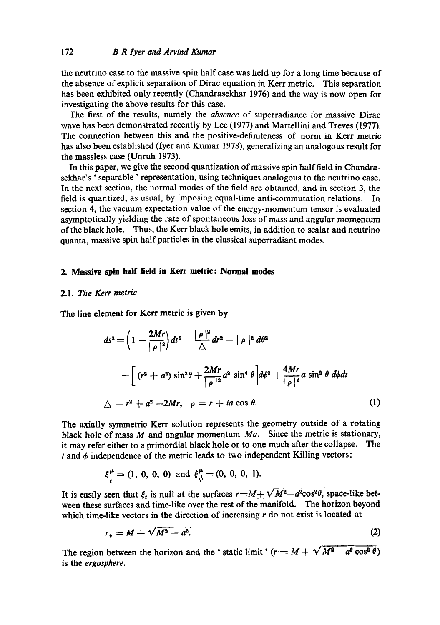the neutrino case to the massive spin half case was held up for a long time beeause of the absence of explicit separation of Dirac equation in Kerr metric. This separation has been exhibited only recently (Chandrasekhar 1976) and the way is now open for investigating the above results for this case.

The first of the results, namely the *absence* of superradiance for massive Dirac wave has been demonstrated recently by Lee (1977) and Martellini and Treves (1977). The connection between this and the positive-definiteness of norm in Kerr metric has also been established (Iyer and Kumar 1978), generalizing an analogous result for the massless case (Unruh 1973).

In this paper, we give the second quantization of massive spin half field in Chandrasekhar's ' separable ' representation, using techniques analogous to the neutrino case. In the next section, the normal modes of the field are obtained, and in section 3, the field is quantized, as usual, by imposing equal-time anti-commutation relations. In section 4, the vacuum expectation value of the energy-momentum tensor is evaluated asymptotically yielding the rate of spontaneous loss of mass and angular momentum of the black hole. Thus, the Kerr black hole emits, in addition to scalar and neutrino quanta, massive spin half particles in the classical superradiant modes.

## **2. Massive spin half field in Kerr metric: Normal modes**

## 2.1. *The Kerr metric*

The line element for Kerr metric is given by

$$
ds^{2} = \left(1 - \frac{2Mr}{|\rho|^2}\right)dt^{2} - \frac{|\rho|^2}{\Delta}dr^{2} - |\rho|^2 d\theta^{2}
$$
  
 
$$
- \left[ (r^{2} + a^{2}) \sin^{2}\theta + \frac{2Mr}{|\rho|^2}a^{2} \sin^{4}\theta \right] d\phi^{2} + \frac{4Mr}{|\rho|^2}a \sin^{2}\theta d\phi dt
$$
  
\(\Delta = r^{2} + a^{2} - 2Mr, \ \rho = r + ia \cos \theta. \tag{1}

The axially symmetric Kerr solution represents the geometry outside of a rotating black hole of mass M and angular momentum *Ma.* Since the metric is stationary, it may refer either to a primordial black hole or to one much after the collapse. The t and  $\phi$  independence of the metric leads to two independent Killing vectors:

$$
\xi_i^{\mu} = (1, 0, 0, 0) \text{ and } \xi_{\phi}^{\mu} = (0, 0, 0, 1).
$$

It is easily seen that  $\xi_t$  is null at the surfaces  $r=M\pm\sqrt{M^2-a^2\cos^2\theta}$ , space-like between these surfaces and time-like over the rest of the manifold. The horizon beyond which time-like vectors in the direction of increasing  $r$  do not exist is located at

$$
r_{+} = M + \sqrt{M^2 - a^2}.\tag{2}
$$

The region between the horizon and the ' static limit'  $(r = M + \sqrt{M^2 - a^2 \cos^2 \theta})$ is the *ergosphere.*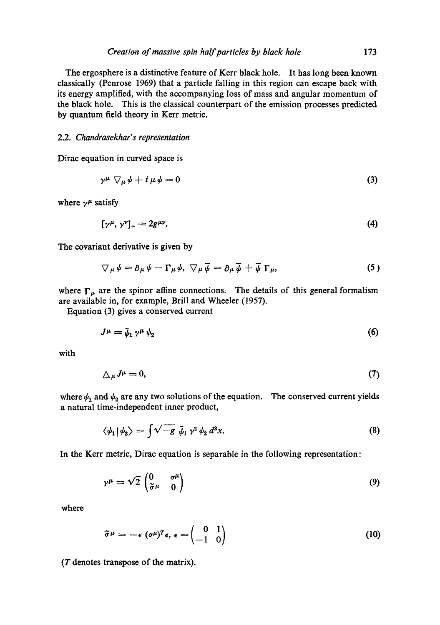The ergosphere is a distinctive feature of Kerr black hole. It has long been known classically (Penrose 1969) that a particle falling in this region can escape back with its energy amplified, with the accompanying loss of mass and angular momentum of the black hole. This is the classical counterpart of the emission processes predicted by quantum field theory in Kerr metric.

## 2.2. *Chandrasekhar' s representation*

Dirac equation in curved space is

$$
\gamma^{\mu} \nabla_{\mu} \psi + i \mu \psi = 0 \tag{3}
$$

where  $\gamma^{\mu}$  satisfy

$$
[\gamma^{\mu}, \gamma^{\nu}]_{+} = 2g^{\mu\nu}.\tag{4}
$$

The covariant derivative is given by

$$
\nabla_{\mu}\psi=\partial_{\mu}\psi-\Gamma_{\mu}\psi,\ \nabla_{\mu}\overline{\psi}=\partial_{\mu}\overline{\psi}+\overline{\psi}\Gamma_{\mu},\qquad \qquad (5)
$$

where  $\Gamma_{\mu}$  are the spinor affine connections. The details of this general formalism are available in, for example, Brill and Wheeler (1957).

Equation (3) gives a conserved current

$$
J^{\mu} = \bar{\psi}_1 \gamma^{\mu} \psi_2 \tag{6}
$$

with

$$
\Delta_{\mu}J^{\mu}=0,\tag{7}
$$

where  $\psi_1$  and  $\psi_2$  are any two solutions of the equation. The conserved current yields a natural time-independent inner product,

$$
\langle \psi_1 | \psi_2 \rangle = \int \sqrt{-g} \, \bar{\psi}_1 \, \gamma^2 \, \psi_2 \, d^3 x. \tag{8}
$$

In the Kerr metric, Dirac equation is separable in the following representation:

$$
\gamma^{\mu} = \sqrt{2} \begin{pmatrix} 0 & \sigma^{\mu} \\ \tilde{\sigma}^{\mu} & 0 \end{pmatrix}
$$
 (9)

where

$$
\widetilde{\sigma}^{\mu} = -\epsilon \; (\sigma^{\mu})^T \epsilon, \; \epsilon = \begin{pmatrix} 0 & 1 \\ -1 & 0 \end{pmatrix} \tag{10}
$$

 $(T$  denotes transpose of the matrix).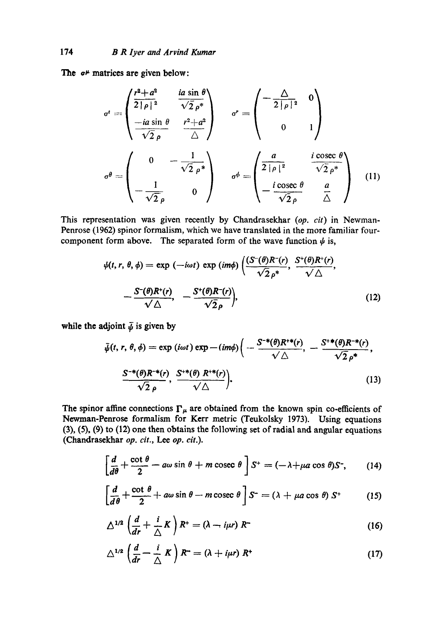The  $\sigma^{\mu}$  matrices are given below:

$$
\sigma^{t} = \begin{pmatrix} \frac{r^{2} + a^{2}}{2|\rho|^{2}} & \frac{i a \sin \theta}{\sqrt{2} \rho^{*}} \\ -\frac{i a \sin \theta}{\sqrt{2} \rho} & \frac{r^{2} + a^{2}}{\Delta} \end{pmatrix} \qquad \sigma^{r} = \begin{pmatrix} -\frac{\Delta}{2|\rho|^{2}} & 0 \\ 0 & 1 \end{pmatrix}
$$

$$
\sigma^{\theta} = \begin{pmatrix} 0 & -\frac{1}{\sqrt{2} \rho^{*}} \\ -\frac{1}{\sqrt{2} \rho} & 0 \end{pmatrix} \qquad \sigma^{\phi} = \begin{pmatrix} \frac{a}{2|\rho|^{2}} & \frac{i \csc \theta}{\sqrt{2} \rho^{*}} \\ -\frac{i \csc \theta}{\sqrt{2} \rho} & \frac{a}{\Delta} \end{pmatrix} \qquad (11)
$$

This representation was given recently by Chandrasekhar *(op. cit)* in Newman-Penrose (1962) spinor formalism, which we have translated in the more familiar fourcomponent form above. The separated form of the wave function  $\psi$  is,

$$
\psi(t, r, \theta, \phi) = \exp(-i\omega t) \exp(im\phi) \left( \frac{(S^-(\theta)R^-(r)}{\sqrt{2}\rho^*}, \frac{S^+(\theta)R^+(r)}{\sqrt{\Delta}}, -\frac{S^-(\theta)R^+(r)}{\sqrt{\Delta}}, -\frac{S^+(\theta)R^-(r)}{\sqrt{2}\rho} \right), \tag{12}
$$

while the adjoint  $\bar{\psi}$  is given by

$$
\bar{\psi}(t, r, \theta, \phi) = \exp(i\omega t) \exp(-im\phi) \left(-\frac{S^{-*}(\theta)R^{+*}(r)}{\sqrt{\Delta}}, -\frac{S^{+*}(\theta)R^{-*}(r)}{\sqrt{2}\rho^*}, \frac{S^{-*}(\theta)R^{-*}(r)}{\sqrt{2}\rho}, \frac{S^{+*}(\theta)R^{+*}(r)}{\sqrt{\Delta}}\right),
$$
\n(13)

The spinor affine connections  $\Gamma_{\mu}$  are obtained from the known spin co-efficients of Newman-Penrose formalism for Kerr metric (Teukolsky 1973). Using equations (3), (5), (9) to (12) one then obtains the following set of radial and angular equations (Chandrasekhar *op. cit.,* Lee *op. cit.).* 

$$
\left[\frac{d}{d\theta} + \frac{\cot \theta}{2} - a\omega \sin \theta + m \csc \theta\right] S^+ = (-\lambda + \mu a \cos \theta) S^-, \qquad (14)
$$

$$
\left[\frac{d}{d\theta} + \frac{\cot \theta}{2} + a\omega \sin \theta - m \csc \theta\right] S^{-} = \left(\lambda + \mu a \cos \theta\right) S^{+} \tag{15}
$$

$$
\Delta^{1/2} \left( \frac{d}{dr} + \frac{i}{\Delta} K \right) R^+ = \left( \lambda - i \mu r \right) R^- \tag{16}
$$

$$
\triangle^{1/2} \left( \frac{d}{dr} - \frac{i}{\triangle} K \right) R^{\perp} = \left( \lambda + i \mu r \right) R^{\perp}
$$
 (17)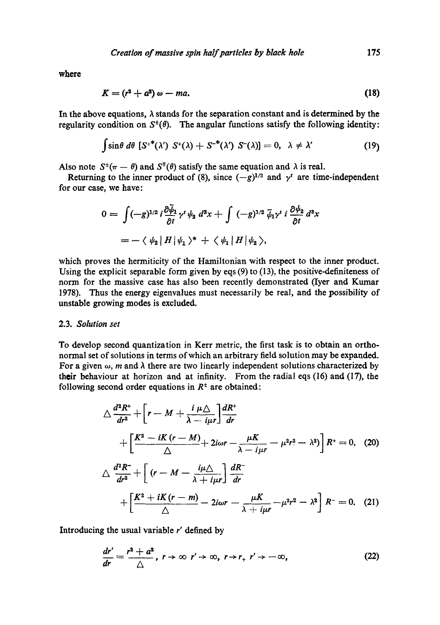**where** 

$$
K = (r^2 + a^2) \omega - ma. \tag{18}
$$

In the above equations,  $\lambda$  stands for the separation constant and is determined by the regularity condition on  $S^{\pm}(\theta)$ . The angular functions satisfy the following identity:

$$
\int \sin \theta \ d\theta \ [S^{+}( \lambda') \ S^{+}( \lambda) + S^{-}( \lambda') \ S^{-}( \lambda) ] = 0, \ \lambda \neq \lambda' \qquad (19)
$$

Also note  $S^{\pm}(\pi - \theta)$  and  $S^{\mp}(\theta)$  satisfy the same equation and  $\lambda$  is real.

Returning to the inner product of (8), since  $(-g)^{1/2}$  and  $\gamma^t$  are time-independent for our case, we have:

$$
0 = \int (-g)^{1/2} i \frac{\partial \bar{\psi}_1}{\partial t} \gamma^t \psi_2 d^3x + \int (-g)^{1/2} \bar{\psi}_1 \gamma^t i \frac{\partial \psi_2}{\partial t} d^3x
$$
  
= - \langle \psi\_2 | H | \psi\_1 \rangle^\* + \langle \psi\_1 | H | \psi\_2 \rangle,

which proves the hermiticity of the Hamiltonian with respect to the inner product. Using the explicit separable form given by eqs (9) to (13), the positive-definiteness of norm for the massive case has also been recently demonstrated (Iyer and Kumar 1978). Thus the energy eigenvalues must necessarily be real, and the possibility of unstable growing modes is excluded.

## 2.3. *Solution set*

To develop second quantization in Kerr metric, the first task is to obtain an orthonormal set of solutions in terms of which an arbitrary field solution may be expanded. For a given  $\omega$ , m and  $\lambda$  there are two linearly independent solutions characterized by **their** behaviour at horizon and at infinity. From the radial eqs (16) and (17), the following second order equations in  $R<sup>+</sup>$  are obtained:

$$
\Delta \frac{d^2 R^+}{dr^2} + \left[r - M + \frac{i \mu \Delta}{\lambda - i\mu r}\right] \frac{dR^+}{dr}
$$
  
+ 
$$
\left[\frac{K^2 - iK(r - M)}{\Delta} + 2i\omega r - \frac{\mu K}{\lambda - i\mu r} - \mu^2 r^2 - \lambda^2\right] R^+ = 0, \quad (20)
$$
  

$$
\Delta \frac{d^2 R^-}{dr^2} + \left[(r - M - \frac{i\mu \Delta}{\lambda + i\mu r}\right] \frac{dR^-}{dr}
$$
  
+ 
$$
\left[\frac{K^2 + iK(r - m)}{\Delta} - 2i\omega r - \frac{\mu K}{\lambda + i\mu r} - \mu^2 r^2 - \lambda^2\right] R^- = 0. \quad (21)
$$

Introducing the usual variable r' defined by

$$
\frac{dr'}{dr} = \frac{r^2 + a^2}{\triangle}, r \to \infty \ r' \to \infty, r \to r_+ \ r' \to -\infty,
$$
 (22)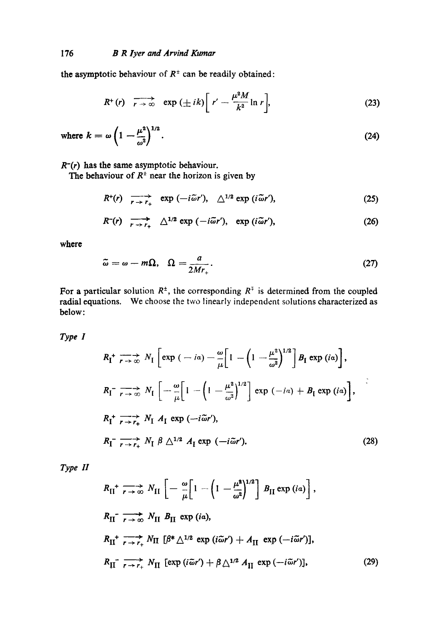the asymptotic behaviour of  $R^{\pm}$  can be readily obtained:

$$
R^{+}(r) \quad \overrightarrow{r \to \infty} \quad \exp\left(\pm ik\right) \left[r' - \frac{\mu^{2}M}{k^{2}} \ln r\right],\tag{23}
$$

where 
$$
k = \omega \left( 1 - \frac{\mu^2}{\omega^2} \right)^{1/2}
$$
. (24)

*R-(r)* has the same asymptotic behaviour.

The behaviour of  $R^{\pm}$  near the horizon is given by

$$
R^+(r) \quad \longrightarrow_{r \to r_+}^{\longrightarrow} \quad \exp(-i\tilde{\omega}r'), \quad \triangle^{1/2} \exp(i\tilde{\omega}r'), \tag{25}
$$

$$
R^{-}(r) \xrightarrow[r \to r_{+}]{} \Delta^{1/2} \exp(-i\tilde{\omega}r'), \exp(i\tilde{\omega}r'), \qquad (26)
$$

**where** 

$$
\tilde{\omega} = \omega - m\Omega, \quad \Omega = \frac{a}{2Mr_+}.
$$
\n(27)

For a particular solution  $R^{\pm}$ , the corresponding  $R^{\pm}$  is determined from the coupled radial equations. We choose the two linearly independent solutions characterized as below:

*Type I* 

$$
R_{\rm I}^+ \xrightarrow[r \to \infty]{} N_{\rm I} \left[ \exp\left( -i\alpha \right) - \frac{\omega}{\mu} \left[ 1 - \left( 1 - \frac{\mu^2}{\omega^2} \right)^{1/2} \right] B_{\rm I} \exp\left( i\alpha \right) \right],
$$
\n
$$
R_{\rm I}^- \xrightarrow[r \to \infty]{} N_{\rm I} \left[ -\frac{\omega}{\mu} \left[ 1 - \left( 1 - \frac{\mu^2}{\omega^2} \right)^{1/2} \right] \exp\left( -i\alpha \right) + B_{\rm I} \exp\left( i\alpha \right) \right],
$$
\n
$$
R_{\rm I}^+ \xrightarrow[r \to r_+]{} N_{\rm I} A_{\rm I} \exp\left( -i\tilde{\omega}r' \right),
$$
\n
$$
R_{\rm I}^- \xrightarrow[r \to r_+]{} N_{\rm I} \beta \triangle^{1/2} A_{\rm I} \exp\left( -i\tilde{\omega}r' \right).
$$
\n(28)

*Type H* 

$$
R_{\text{II}}^+ \xrightarrow[r \to \infty]{\sim} N_{\text{II}} \left[ -\frac{\omega}{\mu} \left[ 1 - \left( 1 - \frac{\mu^2}{\omega^2} \right)^{1/2} \right] B_{\text{II}} \exp(i\mathfrak{a}) \right],
$$
  
\n
$$
R_{\text{II}}^- \xrightarrow[r \to \infty]{\sim} N_{\text{II}} B_{\text{II}} \exp(i\mathfrak{a}),
$$
  
\n
$$
R_{\text{II}}^+ \xrightarrow[r \to r_+]{\sim} N_{\text{II}} [\beta^* \triangle^{1/2} \exp(i\tilde{\omega}r') + A_{\text{II}} \exp(-i\tilde{\omega}r')],
$$
  
\n
$$
R_{\text{II}}^- \xrightarrow[r \to r_+]{\sim} N_{\text{II}} \left[ \exp(i\tilde{\omega}r') + \beta \triangle^{1/2} A_{\text{II}} \exp(-i\tilde{\omega}r') \right],
$$
 (29)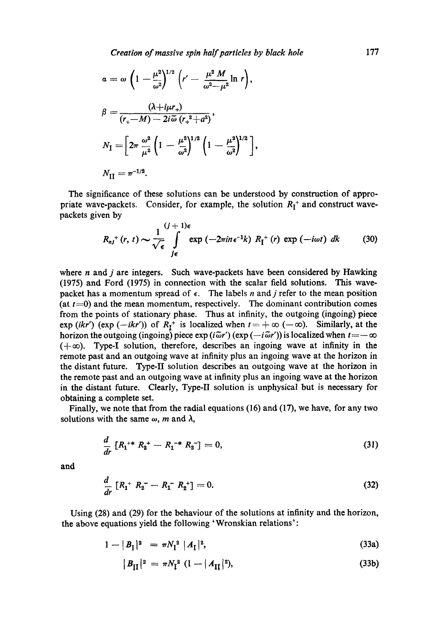*Creation of massive spin half particles by black hole* 177

$$
a = \omega \left( 1 - \frac{\mu^2}{\omega^2} \right)^{1/2} \left( r' - \frac{\mu^2 M}{\omega^2 - \mu^2} \ln r \right),
$$
  
\n
$$
\beta = \frac{(\lambda + i\mu r_+)}{(r_+ - M) - 2i\tilde{\omega} (r_+^2 + a^2)},
$$
  
\n
$$
N_I = \left[ 2\pi \frac{\omega^2}{\mu^2} \left( 1 - \frac{\mu^2}{\omega^2} \right)^{1/2} \left( 1 - \frac{\mu^2}{\omega^2} \right)^{1/2} \right],
$$
  
\n
$$
N_{II} = \pi^{-1/2}.
$$

The significance of these solutions can be understood by construction of appropriate wave-packets. Consider, for example, the solution  $R_1^+$  and construct wavepackets given by

$$
R_{nj}^+(r,\,t)\sim\frac{1}{\sqrt{\epsilon}}\int\limits_{j\epsilon}^{(j\,+\,1)\epsilon}\exp\left(-2\pi i n\,\epsilon^{-1}k\right)\,R_{\mathrm{I}}^+\left(r\right)\,\exp\left(-i\omega t\right)\,dk\qquad \quad (30)
$$

where  $n$  and  $j$  are integers. Such wave-packets have been considered by Hawking (1975) and Ford (1975) in connection with the scalar field solutions. This wavepacket has a momentum spread of  $\epsilon$ . The labels n and j refer to the mean position (at  $t=0$ ) and the mean momentum, respectively. The dominant contribution comes from the points of stationary phase. Thus at infinity, the outgoing (ingoing) piece  $\exp (ikr')$   $(\exp (-ikr'))$  of  $R_I^+$  is localized when  $t = +\infty$  ( $-\infty$ ). Similarly, at the horizon the outgoing (ingoing) piece  $\exp(i\tilde{\omega}r')$  ( $\exp(-i\tilde{\omega}r')$ ) is localized when  $t=-\infty$  $(+\infty)$ . Type-I solution, therefore, describes an ingoing wave at infinity in the remote past and an outgoing wave at infinity plus an ingoing wave at the horizon in the distant future. Type-II solution describes an outgoing wave at the horizon in the remote past and an outgoing wave at infinity plus an ingoing wave at the horizon in the distant future. Clearly, Type-II solution is unphysical but is necessary for obtaining a complete set.

Finally, we note that from the radial equations (16) and (17), we have, for any two solutions with the same  $\omega$ , m and  $\lambda$ ,

$$
\frac{d}{dr}\left[R_1^{+*}R_2^{+}-R_1^{-*}R_2^{-}\right]=0,\tag{31}
$$

**and** 

$$
\frac{d}{dr}\left[R_1^+R_2^- - R_1^-R_2^+\right] = 0.\tag{32}
$$

Using (28) and (29) for the behaviour of the solutions at infinity and the horizon, the above equations yield the following 'Wronskian relations':

$$
1 - |B_{\text{I}}|^2 = \pi N_{\text{I}}^2 |A_{\text{I}}|^2, \tag{33a}
$$

$$
|B_{\text{II}}|^2 = \pi N_{\text{I}}^2 (1 - |A_{\text{II}}|^2), \tag{33b}
$$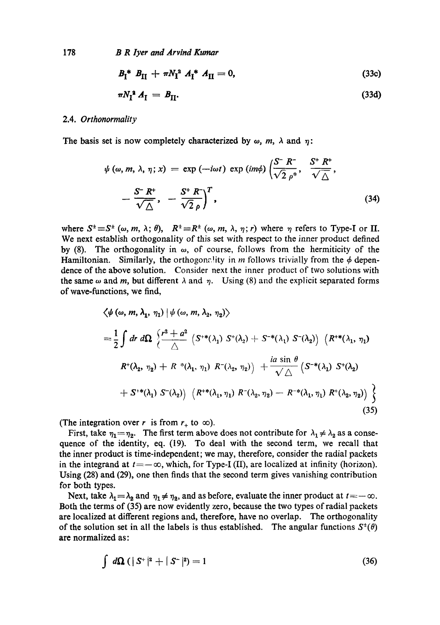178 *B R lyer and Arvind Kumar* 

$$
B_{\rm I}^* B_{\rm II} + \pi N_{\rm I}^2 A_{\rm I}^* A_{\rm II} = 0, \qquad (33c)
$$

$$
\pi N_1^{\mathbf{a}} A_{\mathbf{I}} = B_{\mathbf{II}}.\tag{33d}
$$

### 2.4. *Orthonormality*

The basis set is now completely characterized by  $\omega$ ,  $m$ ,  $\lambda$  and  $\eta$ :

$$
\psi(\omega, m, \lambda, \eta; x) = \exp(-i\omega t) \exp(im\phi) \left(\frac{S^{-}R^{-}}{\sqrt{2} \rho^{*}}, \frac{S^{+}R^{+}}{\sqrt{\Delta}}, -\frac{S^{-}R^{+}}{\sqrt{\Delta}}, -\frac{S^{+}R^{-}}{\sqrt{2} \rho}\right)^{T}, \tag{34}
$$

where  $S^{\pm} \equiv S^{\pm}(\omega, m, \lambda; \theta)$ ,  $R^{\pm} \equiv R^{\pm}(\omega, m, \lambda, \eta; r)$  where  $\eta$  refers to Type-I or II. We next establish orthogonality of this set with respect to the inner product defined by (8). The orthogonality in  $\omega$ , of course, follows from the hermiticity of the Hamiltonian. Similarly, the orthogonality in m follows trivially from the  $\phi$  dependence of the above solution. Consider next the inner product of two solutions with the same  $\omega$  and m, but different  $\lambda$  and  $\eta$ . Using (8) and the explicit separated forms of wave-functions, we find,

$$
\langle \psi (\omega, m, \lambda_1, \eta_1) | \psi (\omega, m, \lambda_2, \eta_2) \rangle
$$
  
=  $\frac{1}{2} \int dr d\Omega \left\{ \frac{r^2 + a^2}{\Delta} \left( S^{**}(\lambda_1) S^{*}(\lambda_2) + S^{-*}(\lambda_1) S^{-}(\lambda_2) \right) \left( R^{**}(\lambda_1, \eta_1) \right) \right\}$   
 $R^{*}(\lambda_2, \eta_2) + R^{*}(\lambda_1, \eta_1) R^{-}(\lambda_2, \eta_2) + \frac{ia \sin \theta}{\sqrt{\Delta}} \left( S^{-*}(\lambda_1) S^{*}(\lambda_2) \right)$   
 $+ S^{**}(\lambda_1) S^{-}(\lambda_2) \left( R^{**}(\lambda_1, \eta_1) R^{-}(\lambda_2, \eta_2) - R^{-*}(\lambda_1, \eta_1) R^{*}(\lambda_2, \eta_2) \right) \right\}$   
(35)

(The integration over r is from  $r_{+}$  to  $\infty$ ).

First, take  $\eta_1 = \eta_2$ . The first term above does not contribute for  $\lambda_1 \neq \lambda_2$  as a consequence of the identity, eq. (19). To deal with the second term, we recall that the inner product is time-independent; we may, therefore, consider the radial packets in the integrand at  $t=-\infty$ , which, for Type-I (II), are localized at infinity (horizon). Using (28) and (29), one then finds that the second term gives vanishing contribution for both types.

Next, take  $\lambda_1 = \lambda_2$  and  $\eta_1 \neq \eta_2$ , and as before, evaluate the inner product at  $t = -\infty$ . Both the terms of (35) are now evidently zero, because the two types of radial packets are localized at different regions and, therefore, have no overlap. The orthogonality of the solution set in all the labels is thus established. The angular functions  $S^{\dagger}(\theta)$ are normalized as:

$$
\int d\Omega \left( |S^+|^2 + |S^-|^2 \right) = 1 \tag{36}
$$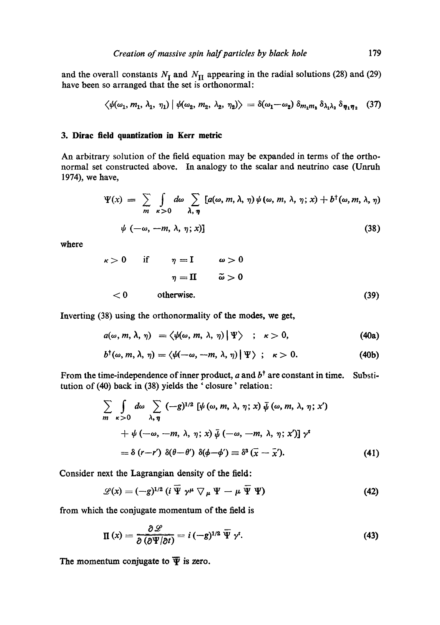and the overall constants  $N_I$  and  $N_{II}$  appearing in the radial solutions (28) and (29) have been so arranged that the set is orthonormal:

$$
\langle \psi(\omega_1, m_1, \lambda_1, \eta_1) | \psi(\omega_2, m_2, \lambda_2, \eta_2) \rangle = \delta(\omega_1 - \omega_2) \, \delta_{m_1 m_1} \, \delta_{\lambda_1 \lambda_2} \, \delta_{\eta_1 \eta_2} \tag{37}
$$

## **3. Dirae field quantization in Kerr metric**

An arbitrary solution of the field equation may be expanded in terms of the orthonormal set constructed above. In analogy to the scalar and neutrino case (Unruh 1974), we have,

$$
\Psi(x) = \sum_{m} \int_{\kappa > 0} d\omega \sum_{\lambda, \eta} [a(\omega, m, \lambda, \eta) \psi(\omega, m, \lambda, \eta; x) + b^{\dagger}(\omega, m, \lambda, \eta)]
$$
  

$$
\psi(-\omega, -m, \lambda, \eta; x)] \tag{38}
$$

where

$$
\begin{array}{rcl}\n\kappa > 0 & \text{if} & \eta = \mathbf{I} & \omega > 0 \\
& \eta = \mathbf{II} & \tilde{\omega} > 0 \\
& < 0 & \text{otherwise.}\n\end{array} \tag{39}
$$

Inverting (38) using the orthonormality of the modes, we get,

$$
a(\omega, m, \lambda, \eta) = \langle \psi(\omega, m, \lambda, \eta) | \Psi \rangle \quad ; \quad \kappa > 0, \tag{40a}
$$

$$
b^{\dagger}(\omega, m, \lambda, \eta) = \langle \psi(-\omega, -m, \lambda, \eta) | \Psi \rangle ; \quad \kappa > 0. \tag{40b}
$$

From the time-independence of inner product, a and  $b^{\dagger}$  are constant in time. Substitution of (40) back in (38) yields the ' closure' relation:

$$
\sum_{m} \int_{\kappa > 0} d\omega \sum_{\lambda, \eta} (-g)^{1/2} \left[ \psi(\omega, m, \lambda, \eta; x) \overline{\psi}(\omega, m, \lambda, \eta; x') + \psi(-\omega, -m, \lambda, \eta; x) \overline{\psi}(-\omega, -m, \lambda, \eta; x') \right] y^t
$$
  
=  $\delta(r-r') \delta(\theta-\theta') \delta(\phi-\phi') \equiv \delta^3(\overline{x}-\overline{x}').$  (41)

Consider next the Lagrangian density of the field:

$$
\mathscr{L}(x) = (-g)^{1/2} \left( i \overline{\Psi} \gamma^{\mu} \nabla_{\mu} \Psi - \mu \overline{\Psi} \Psi \right)
$$
(42)

from which the conjugate momentum of the field is

$$
\Pi(x) = \frac{\partial \mathcal{L}}{\partial (\partial \Psi/\partial t)} = i \left(-g\right)^{1/2} \overline{\Psi} \gamma^{t}.
$$
 (43)

The momentum conjugate to  $\overline{\Psi}$  is zero.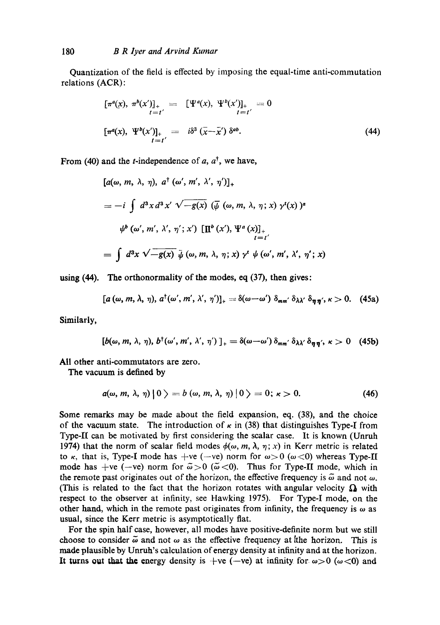Quantization of the field is effected by imposing the equal-time anti-commutation relations (ACR):

$$
\begin{aligned}\n[\pi^a(x), \ \pi^b(x')]_+ &= [\Psi^a(x), \ \Psi^b(x')]_+ &= 0\\
[\pi^a(x), \ \Psi^b(x')]_+ &= i\delta^3 \ (\bar{x} - \bar{x}') \ \delta^{ab}.\n\end{aligned} \tag{44}
$$

From (40) and the *t*-independence of a,  $a^{\dagger}$ , we have,

$$
[a(\omega, m, \lambda, \eta), a^{\dagger} (\omega', m', \lambda', \eta')]_{+}
$$
  
=  $-i \int d^{3}x d^{3}x' \sqrt{-g(x)} (\overline{\psi} (\omega, m, \lambda, \eta; x) \gamma^{t}(x))^{a}$   
 $\psi^{b} (\omega', m', \lambda', \eta'; x') [\Pi^{b} (x'), \Psi^{a} (x)]_{+}$   
=  $\int d^{3}x \sqrt{-g(x)} \overline{\psi} (\omega, m, \lambda, \eta; x) \gamma^{t} \psi (\omega', m', \lambda', \eta'; x)$ 

using (44). The orthonormality of the modes, eq (37), then gives:

$$
[a (\omega, m, \lambda, \eta), a^{\dagger} (\omega', m', \lambda', \eta')]_{+} = \delta (\omega - \omega') \delta_{mm'} \delta_{\lambda \lambda'} \delta_{\eta \eta'}, \kappa > 0. \quad (45a)
$$

Similarly,

$$
[b(\omega, m, \lambda, \eta), b^{\dagger}(\omega', m', \lambda', \eta')]_{+} = \delta(\omega - \omega') \delta_{mm'} \delta_{\lambda \lambda'} \delta_{\eta \eta'}, \kappa > 0 \quad (45b)
$$

All other anti-commutators are zero.

The vacuum is defined by

$$
a(\omega, m, \lambda, \eta) \mid 0 \rangle = b(\omega, m, \lambda, \eta) \mid 0 \rangle = 0; \kappa > 0. \tag{46}
$$

Some remarks may be made about the field expansion, eq. (38), and the choice of the vacuum state. The introduction of  $\kappa$  in (38) that distinguishes Type-I from Type-II can be motivated by first considering the scalar case. It is known (Unruh 1974) that the norm of scalar field modes  $\phi(\omega, m, \lambda, \eta; x)$  in Kerr metric is related to  $\kappa$ , that is, Type-I mode has +ve (-ve) norm for  $\omega > 0$  ( $\omega < 0$ ) whereas Type-II mode has  $(-ve)$  norm for  $\tilde{\omega} > 0$  ( $\tilde{\omega} < 0$ ). Thus for Type-II mode, which in the remote past originates out of the horizon, the effective frequency is  $\tilde{\omega}$  and not  $\omega$ . (This is related to the fact that the horizon rotates with angular velocity  $\Omega$  with respect to the observer at infinity, see Hawking 1975). For Type-I mode, on the other hand, which in the remote past originates from infinity, the frequency is  $\omega$  as usual, since the Kerr metric is asymptotically fiat.

For the spin half case, however, all modes have positive-definite norm but we still choose to consider  $\tilde{\omega}$  and not  $\omega$  as the effective frequency at the horizon. This is made plausible by Unruh's calculation of energy density at infinity and at the horizon. It turns out that the energy density is +ve (-ve) at infinity for  $\omega>0$  ( $\omega<0$ ) and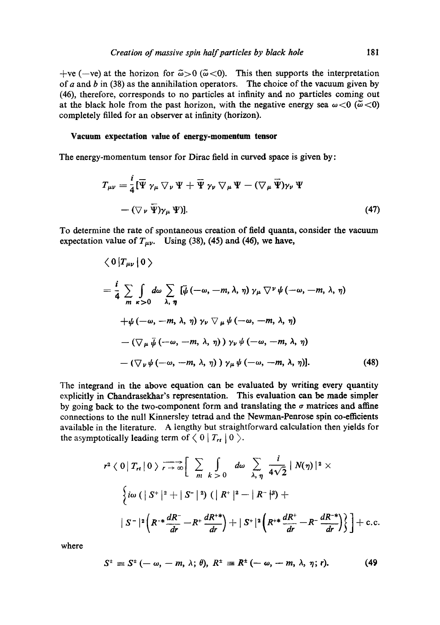+ve (-ve) at the horizon for  $\tilde{\omega} > 0$  ( $\tilde{\omega} < 0$ ). This then supports the interpretation of a and b in (38) as the annihilation operators. The choice of the vacuum given by (46), therefore, corresponds to no particles at infinity and no particles coming out at the black hole from the past horizon, with the negative energy sea  $\omega < 0$  ( $\tilde{\omega} < 0$ ) completely filled for an observer at infinity (horizon).

#### **Vacuum expectation value of energy-momentum tensor**

The energy-momentum tensor for Dirac field in curved space is given by:

$$
T_{\mu\nu} = \frac{i}{4} [\overline{\Psi} \gamma_{\mu} \nabla_{\nu} \Psi + \overline{\Psi} \gamma_{\nu} \nabla_{\mu} \Psi - (\nabla_{\mu} \overline{\Psi}) \gamma_{\nu} \Psi - (\nabla_{\nu} \overline{\Psi}) \gamma_{\mu} \Psi)].
$$
\n(47)

To determine the rate of spontaneous creation of field quanta, consider the vacuum expectation value of  $T_{\mu\nu}$ . Using (38), (45) and (46), we have,

$$
\langle 0 | T_{\mu\nu} | 0 \rangle
$$
  
=  $\frac{i}{4} \sum_{m} \int d\omega \sum_{\lambda, \eta} [\bar{\psi}(-\omega, -m, \lambda, \eta) \gamma_{\mu} \nabla^{\nu} \psi(-\omega, -m, \lambda, \eta) + \psi(-\omega, -m, \lambda, \eta) \gamma_{\nu} \nabla_{\mu} \psi(-\omega, -m, \lambda, \eta) - (\nabla_{\mu} \bar{\psi}(-\omega, -m, \lambda, \eta) \gamma_{\nu} \psi(-\omega, -m, \lambda, \eta) - (\nabla_{\nu} \psi(-\omega, -m, \lambda, \eta) \gamma_{\mu} \psi(-\omega, -m, \lambda, \eta)].$  (48)

The integrand in the above equation can be evaluated by writing every quantity explicitly in Chandrasekhar's representation. This evaluation can be made simpler by going back to the two-component form and translating the  $\sigma$  matrices and affine connections to the null Kinnersley tetrad and the Newman-Penrose spin co-efficients available in the literature. A lengthy but straightforward calculation then yields for the asymptotically leading term of  $\langle 0 | T_{rt} | 0 \rangle$ .

$$
r^{2} \langle 0 | T_{rt} | 0 \rangle \longrightarrow_{r \to \infty} \left[ \sum_{m} \int_{k>0} d\omega \sum_{\lambda, \eta} \frac{i}{4\sqrt{2}} |N(\eta)|^{2} \times \right]
$$
  

$$
\left\{ i\omega \left( |S^{+}|^{2} + |S^{-}|^{2} \right) \left( |R^{+}|^{2} - |R^{-}|^{2} \right) + \right.
$$
  

$$
|S^{-}|^{2} \left( R^{*} \frac{dR^{-}}{dr} - R^{+} \frac{dR^{*}}{dr} \right) + |S^{+}|^{2} \left( R^{*} \frac{dR^{+}}{dr} - R^{-} \frac{dR^{-*}}{dr} \right) \right\} + \text{c.c.}
$$

where

$$
S^{\pm} \equiv S^{\pm}(-\omega, -m, \lambda; \theta), R^{\pm} \equiv R^{\pm}(-\omega, -m, \lambda, \eta; r). \tag{49}
$$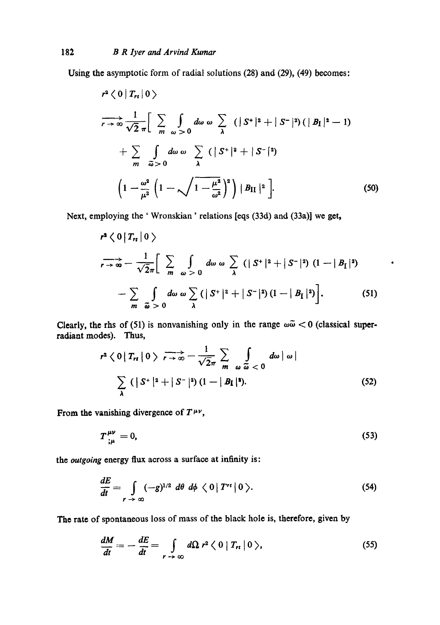Using the asymptotic form of radial solutions (28) and (29), (49) becomes:

$$
r^{2} \langle 0 | T_{rt} | 0 \rangle
$$
  
\n
$$
\overrightarrow{r \rightarrow \infty} \frac{1}{\sqrt{2} \pi} \Big[ \sum_{m} \int_{\omega > 0} d\omega \omega \sum_{\lambda} (|S^{+}|^{2} + |S^{-}|^{2}) (|B_{I}|^{2} - 1)
$$
  
\n
$$
+ \sum_{m} \int_{\tilde{\omega} > 0} d\omega \omega \sum_{\lambda} (|S^{+}|^{2} + |S^{-}|^{2})
$$
  
\n
$$
\Big(1 - \frac{\omega^{2}}{\mu^{2}} \Big(1 - \sqrt{1 - \frac{\mu^{2}}{\omega^{2}}}\Big)^{2}\Big) |B_{II}|^{2} \Big].
$$
 (50)

Next, employing the ' Wronskian ' relations [eqs (33d) and (33a)] we get,

$$
r^{2} \langle 0 | T_{rt} | 0 \rangle
$$
  
\n
$$
r \to \infty - \frac{1}{\sqrt{2}\pi} \Big[ \sum_{m} \int_{\omega > 0} d\omega \omega \sum_{\lambda} (|S^{+}|^{2} + |S^{-}|^{2}) (1 - |B_{\mathcal{I}}|^{2})
$$
  
\n
$$
- \sum_{m} \int_{\omega > 0} d\omega \omega \sum_{\lambda} (|S^{+}|^{2} + |S^{-}|^{2}) (1 - |B_{\mathcal{I}}|^{2}) \Big].
$$
 (51)

 $\bullet$ 

Clearly, the rhs of (51) is nonvanishing only in the range  $\omega\tilde{\omega} < 0$  (classical superradiant modes). Thus,

$$
r^{2} \langle 0 | T_{rt} | 0 \rangle \longrightarrow \frac{1}{r \to \infty} - \frac{1}{\sqrt{2}\pi} \sum_{m} \int_{\omega} \frac{d\omega |\omega|}{\tilde{\omega} < 0} d\omega |\omega|
$$
  

$$
\sum_{\lambda} (|S^{+}|^{2} + |S^{-}|^{2}) (1 - |B_{\mathbf{I}}|^{2}). \tag{52}
$$

From the vanishing divergence of  $T^{\mu\nu}$ ,

$$
T^{\mu\nu}_{;\mu}=0,\t\t(53)
$$

the *outgoing* energy flux across a surface at infinity is:

$$
\frac{dE}{dt} = \int\limits_{r \to \infty} (-g)^{1/2} d\theta d\phi \langle 0 | T'^{t} | 0 \rangle.
$$
 (54)

The rate of spontaneous loss of mass of the black hole is, therefore, given by

$$
\frac{dM}{dt} = -\frac{dE}{dt} = \int\limits_{r \to \infty} d\Omega \ r^2 \langle 0 | T_{rt} | 0 \rangle, \qquad (55)
$$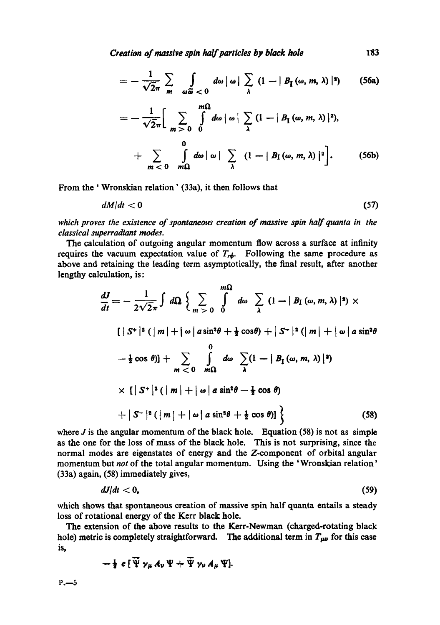*Creation of massive spin half particles by black hole* I83

$$
= -\frac{1}{\sqrt{2}\pi} \sum_{m} \int_{\omega \widetilde{\omega}} d\omega |\omega| \sum_{\lambda} (1 - |B_{I}(\omega, m, \lambda)|^{2}) \qquad (56a)
$$

$$
= -\frac{1}{\sqrt{2}\pi} \Big[ \sum_{m>0} \int_{0}^{m\Omega} d\omega \, |\omega| \sum_{\lambda} (1 - |B_{\text{I}}(\omega, m, \lambda)|^2),
$$
  
+ 
$$
\sum_{m<0} \int_{m\Omega} d\omega \, |\omega| \sum_{\lambda} (1 - |B_{\text{I}}(\omega, m, \lambda)|^2 \Big].
$$
 (56b)

From the ' Wronskian relation' (33a), it then follows that

$$
dM/dt < 0 \tag{57}
$$

*which proves the existence of spontaneous creation of massive spin half quanta in the classical superradiant modes.* 

The calculation of outgoing angular momentum flow across a surface at infinity requires the vacuum expectation value of  $T_{rd}$ . Following the same procedure as above and retaining the leading term asymptotically, the final result, after another lengthy calculation, is:

$$
\frac{dJ}{dt} = -\frac{1}{2\sqrt{2}\pi} \int d\Omega \left\{ \sum_{m>0} \int d\omega \sum_{\lambda} (1 - |B_{I}(\omega, m, \lambda)|^{2}) \times \left[ |\ S^{+}|^{2} (|m| + |\omega| \sin^{2}\theta + \frac{1}{2}\cos\theta) + |\ S^{-}|^{2} (|m| + |\omega| \sin^{2}\theta \right] \right\}
$$
  

$$
- \frac{1}{2}\cos\theta] + \sum_{m<0} \int_{m\Omega} d\omega \sum_{\lambda} (1 - |B_{I}(\omega, m, \lambda)|^{2})
$$
  

$$
\times \left\{ |\ S^{+}|^{2} (|m| + |\omega| \sin^{2}\theta - \frac{1}{2}\cos\theta) \right\}
$$
  

$$
+ |S^{-}|^{2} (|m| + |\omega| \sin^{2}\theta + \frac{1}{2}\cos\theta)] \left\}
$$
(58)

where  $J$  is the angular momentum of the black hole. Equation (58) is not as simple as the one for the loss of mass of the black hole. This is not surprising, since the normal modes are eigenstates of energy and the Z-component of orbital angular momentum but *not* of the total angular momentum. Using the 'Wronskian relation' (33a) again, (58) immediately gives,

$$
dJ/dt < 0, \tag{59}
$$

which shows that spontaneous creation of massive spin half quanta entails a steady loss of rotational energy of the Kerr black hole.

The extension of the above results to the Kerr-Newman (charged-rotating black hole) metric is completely straightforward. The additional term in  $T_{\mu\nu}$  for this case is,

$$
-\frac{1}{2} e [\overline{\Psi} \gamma_{\mu} A_{\nu} \Psi + \overline{\Psi} \gamma_{\nu} A_{\mu} \Psi].
$$

 $P - -5$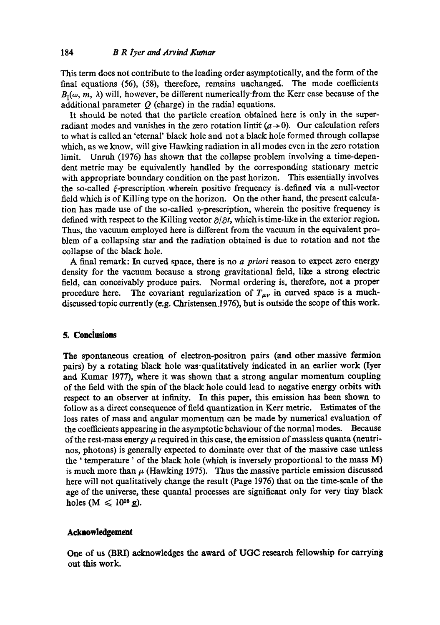This term does not contribute to the leading order asymptotically, and the form of the final equations (56), (58), therefore, remains unchanged. The mode coefficients  $B_1(\omega, m, \lambda)$  will, however, be different numerically-from the Kerr case because of the additional parameter  $Q$  (charge) in the radial equations.

It should be noted that the particle creation obtained here is only in the superradiant modes and vanishes in the zero rotation limit  $(a \rightarrow 0)$ . Our calculation refers to what is called an 'eternal' black hole and not a black hole formed through collapse which, as we know, will give Hawking radiation in all modes even in the zero rotation limit. Unruh (1976) has shown that the collapse problem involving a time-dependent metric may be equivalently handled by the corresponding stationary metric with appropriate boundary condition on the past horizon. This essentially involves the so-called  $\xi$ -prescription wherein positive frequency is defined via a null-vector field which is of Killing type on the horizon. On the other hand, the present calculation has made use of the so-called  $\eta$ -prescription, wherein the positive frequency is defined with respect to the Killing vector  $\partial/\partial t$ , which is time-like in the exterior region. Thus, the vacuum employed here is different from the vacuum in the equivalent problem of a collapsing star and the radiation obtained is due to rotation and not the collapse of the black hole.

A final remark: In curved space, there is no *a priori* reason to expect zero energy density for the vacuum because a strong gravitational field, like a strong electric field, can conceivably produce pairs. Normal ordering is, therefore, not a proper procedure here. The covariant regularization of  $T_{\mu\nu}$  in curved space is a muchdiscussed topic currently (e.g. Christensen.1976), but is outside the scope of this work.

## **5. Conciusions**

The spontaneous creation of electron-positron pairs (and other massive fermion pairs) by a rotating black hole was-qualitatively indicated in an earlier work (Iyer and Kumar 1977), where it was shown that a strong angular momentum coupling of the field with the spin of the black hole could lead to negative energy orbits with respect to an observer at infinity. In this paper, this emission has been shown to follow as a direct consequence of field quantization in Kerr metric. Estimates of the loss rates of mass and angular momentum can be made by numerical evaluation of the coefficients appearing in the asymptotic bchaviour of the normal modes. Because of the rest-mass energy  $\mu$  required in this case, the emission of massless quanta (neutrinos, photons) is generally expected to dominate over that of the massive case unless the ' temperature' of the black hole (which is inversely proportional to the mass M) is much more than  $\mu$  (Hawking 1975). Thus the massive particle emission discussed here will not qualitatively change the result (Page 1976) that on the time-scale of the age of the universe, these quantal processes are significant only for very tiny black holes  $(M \leq 10^{16} g)$ .

### **Acknowledgement**

One of us (BRD acknowledges the award of UGC research fellowship for carrying out this work.